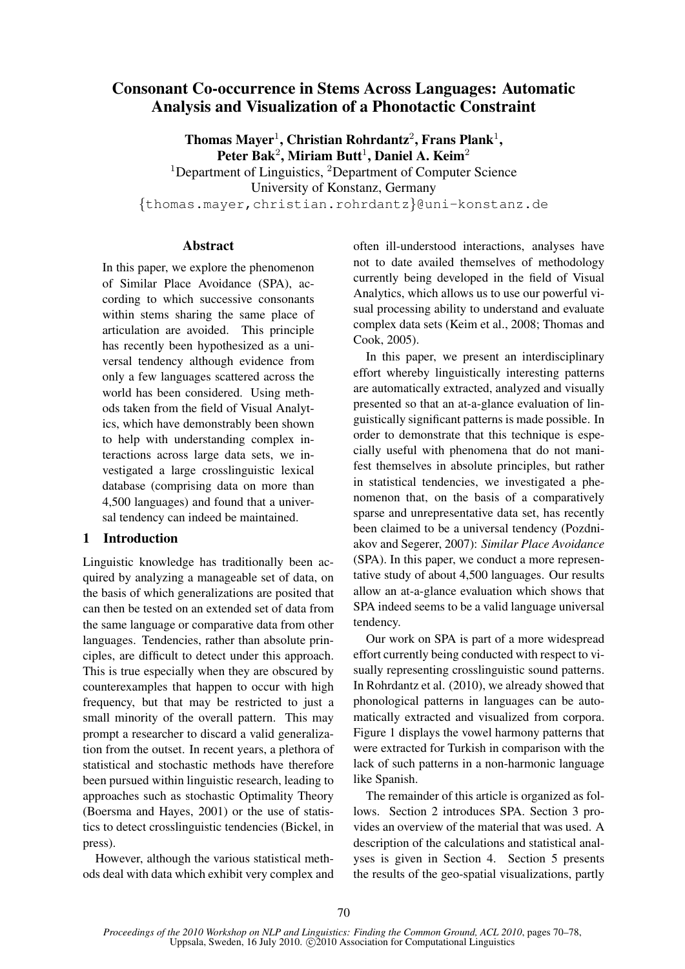# Consonant Co-occurrence in Stems Across Languages: Automatic Analysis and Visualization of a Phonotactic Constraint

Thomas Mayer<sup>1</sup>, Christian Rohrdantz<sup>2</sup>, Frans Plank<sup>1</sup>, Peter Bak<sup>2</sup>, Miriam Butt<sup>1</sup>, Daniel A. Keim<sup>2</sup> <sup>1</sup>Department of Linguistics, <sup>2</sup>Department of Computer Science University of Konstanz, Germany {thomas.mayer,christian.rohrdantz}@uni-konstanz.de

# Abstract

In this paper, we explore the phenomenon of Similar Place Avoidance (SPA), according to which successive consonants within stems sharing the same place of articulation are avoided. This principle has recently been hypothesized as a universal tendency although evidence from only a few languages scattered across the world has been considered. Using methods taken from the field of Visual Analytics, which have demonstrably been shown to help with understanding complex interactions across large data sets, we investigated a large crosslinguistic lexical database (comprising data on more than 4,500 languages) and found that a universal tendency can indeed be maintained.

# 1 Introduction

Linguistic knowledge has traditionally been acquired by analyzing a manageable set of data, on the basis of which generalizations are posited that can then be tested on an extended set of data from the same language or comparative data from other languages. Tendencies, rather than absolute principles, are difficult to detect under this approach. This is true especially when they are obscured by counterexamples that happen to occur with high frequency, but that may be restricted to just a small minority of the overall pattern. This may prompt a researcher to discard a valid generalization from the outset. In recent years, a plethora of statistical and stochastic methods have therefore been pursued within linguistic research, leading to approaches such as stochastic Optimality Theory (Boersma and Hayes, 2001) or the use of statistics to detect crosslinguistic tendencies (Bickel, in press).

However, although the various statistical methods deal with data which exhibit very complex and often ill-understood interactions, analyses have not to date availed themselves of methodology currently being developed in the field of Visual Analytics, which allows us to use our powerful visual processing ability to understand and evaluate complex data sets (Keim et al., 2008; Thomas and Cook, 2005).

In this paper, we present an interdisciplinary effort whereby linguistically interesting patterns are automatically extracted, analyzed and visually presented so that an at-a-glance evaluation of linguistically significant patterns is made possible. In order to demonstrate that this technique is especially useful with phenomena that do not manifest themselves in absolute principles, but rather in statistical tendencies, we investigated a phenomenon that, on the basis of a comparatively sparse and unrepresentative data set, has recently been claimed to be a universal tendency (Pozdniakov and Segerer, 2007): *Similar Place Avoidance* (SPA). In this paper, we conduct a more representative study of about 4,500 languages. Our results allow an at-a-glance evaluation which shows that SPA indeed seems to be a valid language universal tendency.

Our work on SPA is part of a more widespread effort currently being conducted with respect to visually representing crosslinguistic sound patterns. In Rohrdantz et al. (2010), we already showed that phonological patterns in languages can be automatically extracted and visualized from corpora. Figure 1 displays the vowel harmony patterns that were extracted for Turkish in comparison with the lack of such patterns in a non-harmonic language like Spanish.

The remainder of this article is organized as follows. Section 2 introduces SPA. Section 3 provides an overview of the material that was used. A description of the calculations and statistical analyses is given in Section 4. Section 5 presents the results of the geo-spatial visualizations, partly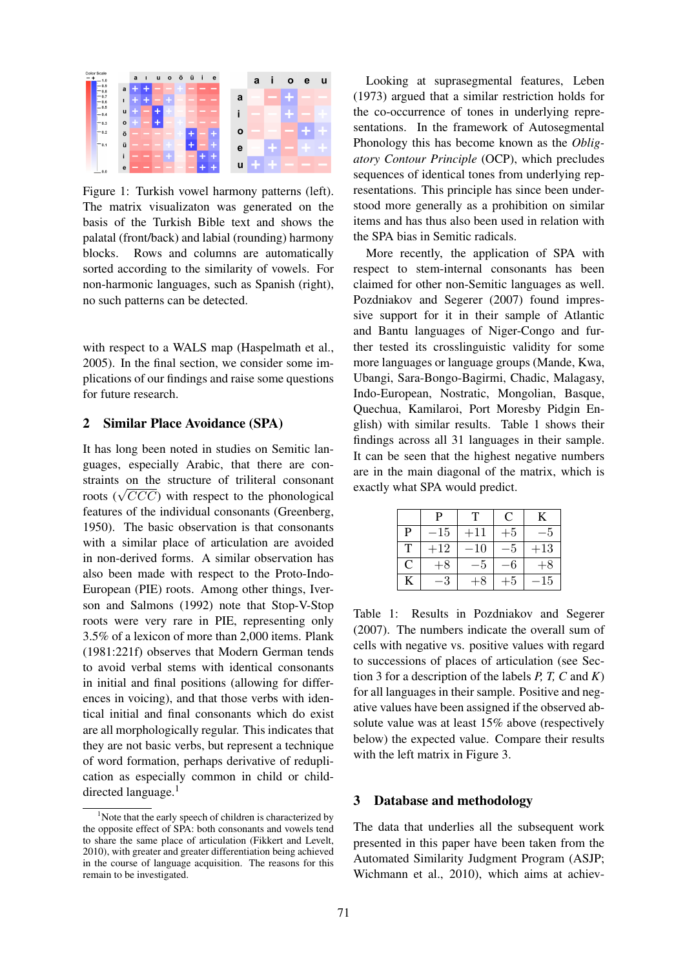

Figure 1: Turkish vowel harmony patterns (left). The matrix visualizaton was generated on the basis of the Turkish Bible text and shows the palatal (front/back) and labial (rounding) harmony blocks. Rows and columns are automatically sorted according to the similarity of vowels. For non-harmonic languages, such as Spanish (right), no such patterns can be detected.

with respect to a WALS map (Haspelmath et al., 2005). In the final section, we consider some implications of our findings and raise some questions for future research.

## 2 Similar Place Avoidance (SPA)

It has long been noted in studies on Semitic languages, especially Arabic, that there are constraints on the structure of triliteral consonant straints on the structure of trifferent consolidations ( $\sqrt{CCC}$ ) with respect to the phonological features of the individual consonants (Greenberg, 1950). The basic observation is that consonants with a similar place of articulation are avoided in non-derived forms. A similar observation has also been made with respect to the Proto-Indo-European (PIE) roots. Among other things, Iverson and Salmons (1992) note that Stop-V-Stop roots were very rare in PIE, representing only 3.5% of a lexicon of more than 2,000 items. Plank (1981:221f) observes that Modern German tends to avoid verbal stems with identical consonants in initial and final positions (allowing for differences in voicing), and that those verbs with identical initial and final consonants which do exist are all morphologically regular. This indicates that they are not basic verbs, but represent a technique of word formation, perhaps derivative of reduplication as especially common in child or childdirected language.<sup>1</sup>

Looking at suprasegmental features, Leben (1973) argued that a similar restriction holds for the co-occurrence of tones in underlying representations. In the framework of Autosegmental Phonology this has become known as the *Obligatory Contour Principle* (OCP), which precludes sequences of identical tones from underlying representations. This principle has since been understood more generally as a prohibition on similar items and has thus also been used in relation with the SPA bias in Semitic radicals.

More recently, the application of SPA with respect to stem-internal consonants has been claimed for other non-Semitic languages as well. Pozdniakov and Segerer (2007) found impressive support for it in their sample of Atlantic and Bantu languages of Niger-Congo and further tested its crosslinguistic validity for some more languages or language groups (Mande, Kwa, Ubangi, Sara-Bongo-Bagirmi, Chadic, Malagasy, Indo-European, Nostratic, Mongolian, Basque, Quechua, Kamilaroi, Port Moresby Pidgin English) with similar results. Table 1 shows their findings across all 31 languages in their sample. It can be seen that the highest negative numbers are in the main diagonal of the matrix, which is exactly what SPA would predict.

|   | Þ     | T            | C    | $\mathbf{K}$ |
|---|-------|--------------|------|--------------|
| P | $-15$ | $+11$        | $+5$ |              |
| T | $+12$ | $^{\rm -10}$ | -5   | $+13$        |
| C | $+8$  | -5           | -6   | $+8$         |
| K | –3    | $+8$         | $+5$ | $-15\,$      |

Table 1: Results in Pozdniakov and Segerer (2007). The numbers indicate the overall sum of cells with negative vs. positive values with regard to successions of places of articulation (see Section 3 for a description of the labels *P, T, C* and *K*) for all languages in their sample. Positive and negative values have been assigned if the observed absolute value was at least 15% above (respectively below) the expected value. Compare their results with the left matrix in Figure 3.

#### 3 Database and methodology

The data that underlies all the subsequent work presented in this paper have been taken from the Automated Similarity Judgment Program (ASJP; Wichmann et al., 2010), which aims at achiev-

 $1$ Note that the early speech of children is characterized by the opposite effect of SPA: both consonants and vowels tend to share the same place of articulation (Fikkert and Levelt, 2010), with greater and greater differentiation being achieved in the course of language acquisition. The reasons for this remain to be investigated.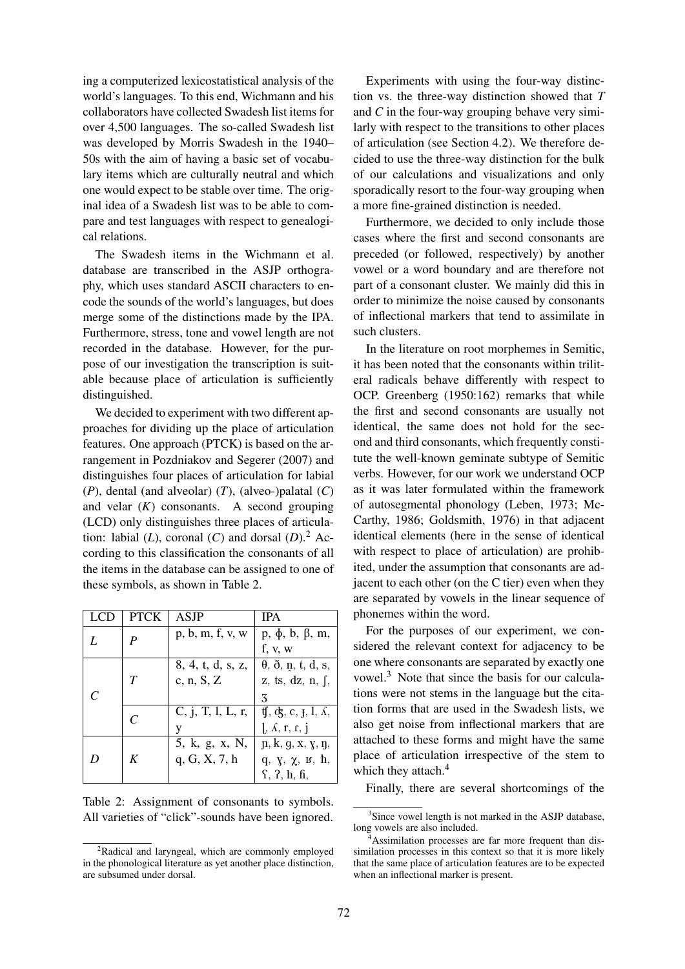ing a computerized lexicostatistical analysis of the world's languages. To this end, Wichmann and his collaborators have collected Swadesh list items for over 4,500 languages. The so-called Swadesh list was developed by Morris Swadesh in the 1940– 50s with the aim of having a basic set of vocabulary items which are culturally neutral and which one would expect to be stable over time. The original idea of a Swadesh list was to be able to compare and test languages with respect to genealogical relations.

The Swadesh items in the Wichmann et al. database are transcribed in the ASJP orthography, which uses standard ASCII characters to encode the sounds of the world's languages, but does merge some of the distinctions made by the IPA. Furthermore, stress, tone and vowel length are not recorded in the database. However, for the purpose of our investigation the transcription is suitable because place of articulation is sufficiently distinguished.

We decided to experiment with two different approaches for dividing up the place of articulation features. One approach (PTCK) is based on the arrangement in Pozdniakov and Segerer (2007) and distinguishes four places of articulation for labial (*P*), dental (and alveolar) (*T*), (alveo-)palatal (*C*) and velar  $(K)$  consonants. A second grouping (LCD) only distinguishes three places of articulation: labial  $(L)$ , coronal  $(C)$  and dorsal  $(D)$ .<sup>2</sup> According to this classification the consonants of all the items in the database can be assigned to one of these symbols, as shown in Table 2.

|  | <b>PTCK</b> | <b>ASJP</b>       | <b>IPA</b>                                                      |
|--|-------------|-------------------|-----------------------------------------------------------------|
|  | P           | p, b, m, f, v, w  | $p, \phi, b, \beta, m,$<br>f, v, w                              |
|  |             |                   |                                                                 |
|  |             | 8, 4, t, d, s, z, | $\theta$ , $\eth$ , $\eta$ , $t$ , $d$ , $s$ ,                  |
|  | Т           | c, n, S, Z        | z, ts, dz, n, f,                                                |
|  |             |                   | 3                                                               |
|  |             | C, j, T, l, L, r, | $\oint$ , c, j, l, $\Lambda$ ,                                  |
|  |             | V                 | $\int$ , $\Lambda$ , $\mathbf{r}$ , $\mathbf{r}$ , $\mathbf{j}$ |
|  | K           | 5, k, g, x, N,    | $p, k, g, x, y, \eta$                                           |
|  |             | q, G, X, 7, h     | q, $\gamma$ , $\chi$ , $\kappa$ , $\hbar$ ,                     |
|  |             |                   | $\mathbf{f}$ , $\mathbf{f}$ , $\mathbf{h}$ , $\mathbf{h}$ ,     |

Table 2: Assignment of consonants to symbols. All varieties of "click"-sounds have been ignored.

Experiments with using the four-way distinction vs. the three-way distinction showed that *T* and *C* in the four-way grouping behave very similarly with respect to the transitions to other places of articulation (see Section 4.2). We therefore decided to use the three-way distinction for the bulk of our calculations and visualizations and only sporadically resort to the four-way grouping when a more fine-grained distinction is needed.

Furthermore, we decided to only include those cases where the first and second consonants are preceded (or followed, respectively) by another vowel or a word boundary and are therefore not part of a consonant cluster. We mainly did this in order to minimize the noise caused by consonants of inflectional markers that tend to assimilate in such clusters.

In the literature on root morphemes in Semitic, it has been noted that the consonants within triliteral radicals behave differently with respect to OCP. Greenberg (1950:162) remarks that while the first and second consonants are usually not identical, the same does not hold for the second and third consonants, which frequently constitute the well-known geminate subtype of Semitic verbs. However, for our work we understand OCP as it was later formulated within the framework of autosegmental phonology (Leben, 1973; Mc-Carthy, 1986; Goldsmith, 1976) in that adjacent identical elements (here in the sense of identical with respect to place of articulation) are prohibited, under the assumption that consonants are adjacent to each other (on the C tier) even when they are separated by vowels in the linear sequence of phonemes within the word.

For the purposes of our experiment, we considered the relevant context for adjacency to be one where consonants are separated by exactly one vowel.<sup>3</sup> Note that since the basis for our calculations were not stems in the language but the citation forms that are used in the Swadesh lists, we also get noise from inflectional markers that are attached to these forms and might have the same place of articulation irrespective of the stem to which they attach.<sup>4</sup>

Finally, there are several shortcomings of the

 ${}^{2}$ Radical and laryngeal, which are commonly employed in the phonological literature as yet another place distinction, are subsumed under dorsal.

<sup>&</sup>lt;sup>3</sup>Since vowel length is not marked in the ASJP database, long vowels are also included.

<sup>&</sup>lt;sup>4</sup>Assimilation processes are far more frequent than dissimilation processes in this context so that it is more likely that the same place of articulation features are to be expected when an inflectional marker is present.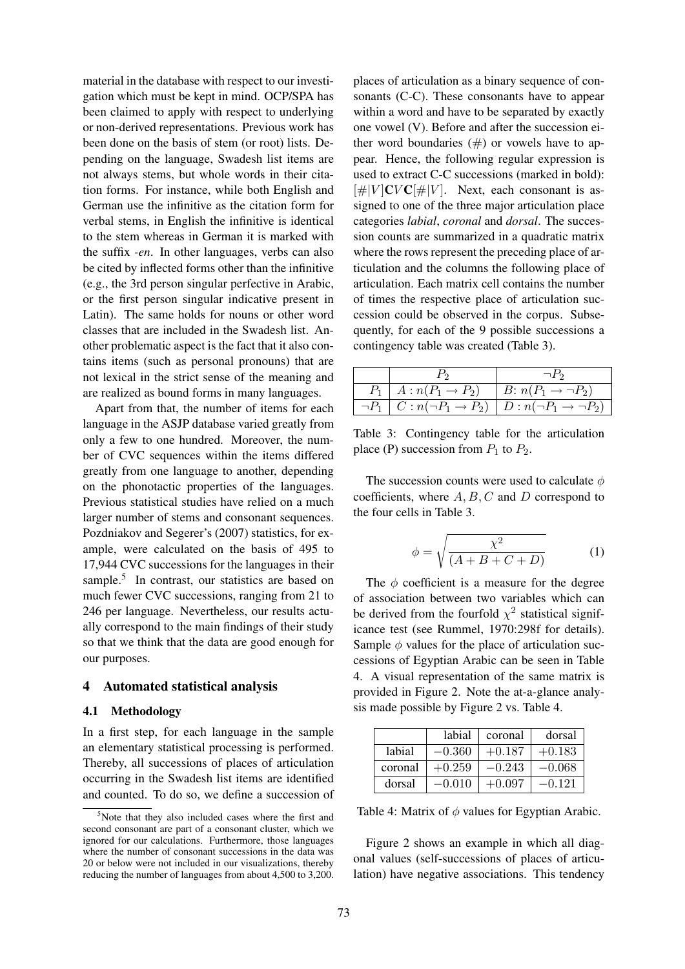material in the database with respect to our investigation which must be kept in mind. OCP/SPA has been claimed to apply with respect to underlying or non-derived representations. Previous work has been done on the basis of stem (or root) lists. Depending on the language, Swadesh list items are not always stems, but whole words in their citation forms. For instance, while both English and German use the infinitive as the citation form for verbal stems, in English the infinitive is identical to the stem whereas in German it is marked with the suffix *-en*. In other languages, verbs can also be cited by inflected forms other than the infinitive (e.g., the 3rd person singular perfective in Arabic, or the first person singular indicative present in Latin). The same holds for nouns or other word classes that are included in the Swadesh list. Another problematic aspect is the fact that it also contains items (such as personal pronouns) that are not lexical in the strict sense of the meaning and are realized as bound forms in many languages.

Apart from that, the number of items for each language in the ASJP database varied greatly from only a few to one hundred. Moreover, the number of CVC sequences within the items differed greatly from one language to another, depending on the phonotactic properties of the languages. Previous statistical studies have relied on a much larger number of stems and consonant sequences. Pozdniakov and Segerer's (2007) statistics, for example, were calculated on the basis of 495 to 17,944 CVC successions for the languages in their sample.<sup>5</sup> In contrast, our statistics are based on much fewer CVC successions, ranging from 21 to 246 per language. Nevertheless, our results actually correspond to the main findings of their study so that we think that the data are good enough for our purposes.

#### 4 Automated statistical analysis

#### 4.1 Methodology

In a first step, for each language in the sample an elementary statistical processing is performed. Thereby, all successions of places of articulation occurring in the Swadesh list items are identified and counted. To do so, we define a succession of places of articulation as a binary sequence of consonants (C-C). These consonants have to appear within a word and have to be separated by exactly one vowel (V). Before and after the succession either word boundaries  $(\#)$  or vowels have to appear. Hence, the following regular expression is used to extract C-C successions (marked in bold):  $[\#]V$  CVC  $[\#]V$ . Next, each consonant is assigned to one of the three major articulation place categories *labial*, *coronal* and *dorsal*. The succession counts are summarized in a quadratic matrix where the rows represent the preceding place of articulation and the columns the following place of articulation. Each matrix cell contains the number of times the respective place of articulation succession could be observed in the corpus. Subsequently, for each of the 9 possible successions a contingency table was created (Table 3).

|                                 | $\neg P_2$                                                                                |
|---------------------------------|-------------------------------------------------------------------------------------------|
| $P_1 \,\mid\, A:n(P_1 \to P_2)$ | B: $n(P_1 \rightarrow \neg P_2)$                                                          |
|                                 | $\neg P_1 \mid C : n(\neg P_1 \rightarrow P_2) \mid D : n(\neg P_1 \rightarrow \neg P_2)$ |

Table 3: Contingency table for the articulation place (P) succession from  $P_1$  to  $P_2$ .

The succession counts were used to calculate  $\phi$ coefficients, where  $A, B, C$  and  $D$  correspond to the four cells in Table 3.

$$
\phi = \sqrt{\frac{\chi^2}{(A+B+C+D)}}\tag{1}
$$

The  $\phi$  coefficient is a measure for the degree of association between two variables which can be derived from the fourfold  $\chi^2$  statistical significance test (see Rummel, 1970:298f for details). Sample  $\phi$  values for the place of articulation successions of Egyptian Arabic can be seen in Table 4. A visual representation of the same matrix is provided in Figure 2. Note the at-a-glance analysis made possible by Figure 2 vs. Table 4.

|         | labial   | coronal  | dorsal   |
|---------|----------|----------|----------|
| labial  | $-0.360$ | $+0.187$ | $+0.183$ |
| coronal | $+0.259$ | $-0.243$ | $-0.068$ |
| dorsal  | $-0.010$ | $+0.097$ | $-0.121$ |

Table 4: Matrix of  $\phi$  values for Egyptian Arabic.

Figure 2 shows an example in which all diagonal values (self-successions of places of articulation) have negative associations. This tendency

 $5$ Note that they also included cases where the first and second consonant are part of a consonant cluster, which we ignored for our calculations. Furthermore, those languages where the number of consonant successions in the data was 20 or below were not included in our visualizations, thereby reducing the number of languages from about 4,500 to 3,200.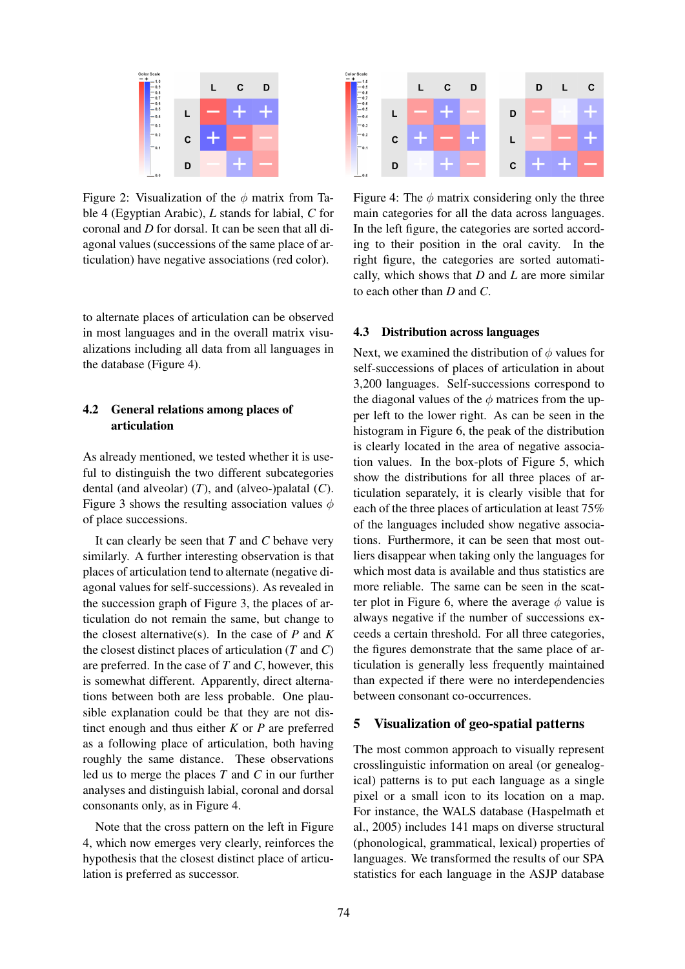

Figure 2: Visualization of the  $\phi$  matrix from Table 4 (Egyptian Arabic), *L* stands for labial, *C* for coronal and *D* for dorsal. It can be seen that all diagonal values (successions of the same place of articulation) have negative associations (red color).

to alternate places of articulation can be observed in most languages and in the overall matrix visualizations including all data from all languages in the database (Figure 4).

# 4.2 General relations among places of articulation

As already mentioned, we tested whether it is useful to distinguish the two different subcategories dental (and alveolar) (*T*), and (alveo-)palatal (*C*). Figure 3 shows the resulting association values  $\phi$ of place successions.

It can clearly be seen that *T* and *C* behave very similarly. A further interesting observation is that places of articulation tend to alternate (negative diagonal values for self-successions). As revealed in the succession graph of Figure 3, the places of articulation do not remain the same, but change to the closest alternative(s). In the case of  $P$  and  $K$ the closest distinct places of articulation (*T* and *C*) are preferred. In the case of *T* and *C*, however, this is somewhat different. Apparently, direct alternations between both are less probable. One plausible explanation could be that they are not distinct enough and thus either *K* or *P* are preferred as a following place of articulation, both having roughly the same distance. These observations led us to merge the places *T* and *C* in our further analyses and distinguish labial, coronal and dorsal consonants only, as in Figure 4.

Note that the cross pattern on the left in Figure 4, which now emerges very clearly, reinforces the hypothesis that the closest distinct place of articulation is preferred as successor.



Figure 4: The  $\phi$  matrix considering only the three main categories for all the data across languages. In the left figure, the categories are sorted according to their position in the oral cavity. In the right figure, the categories are sorted automatically, which shows that *D* and *L* are more similar to each other than *D* and *C*.

#### 4.3 Distribution across languages

Next, we examined the distribution of  $\phi$  values for self-successions of places of articulation in about 3,200 languages. Self-successions correspond to the diagonal values of the  $\phi$  matrices from the upper left to the lower right. As can be seen in the histogram in Figure 6, the peak of the distribution is clearly located in the area of negative association values. In the box-plots of Figure 5, which show the distributions for all three places of articulation separately, it is clearly visible that for each of the three places of articulation at least 75% of the languages included show negative associations. Furthermore, it can be seen that most outliers disappear when taking only the languages for which most data is available and thus statistics are more reliable. The same can be seen in the scatter plot in Figure 6, where the average  $\phi$  value is always negative if the number of successions exceeds a certain threshold. For all three categories, the figures demonstrate that the same place of articulation is generally less frequently maintained than expected if there were no interdependencies between consonant co-occurrences.

#### 5 Visualization of geo-spatial patterns

The most common approach to visually represent crosslinguistic information on areal (or genealogical) patterns is to put each language as a single pixel or a small icon to its location on a map. For instance, the WALS database (Haspelmath et al., 2005) includes 141 maps on diverse structural (phonological, grammatical, lexical) properties of languages. We transformed the results of our SPA statistics for each language in the ASJP database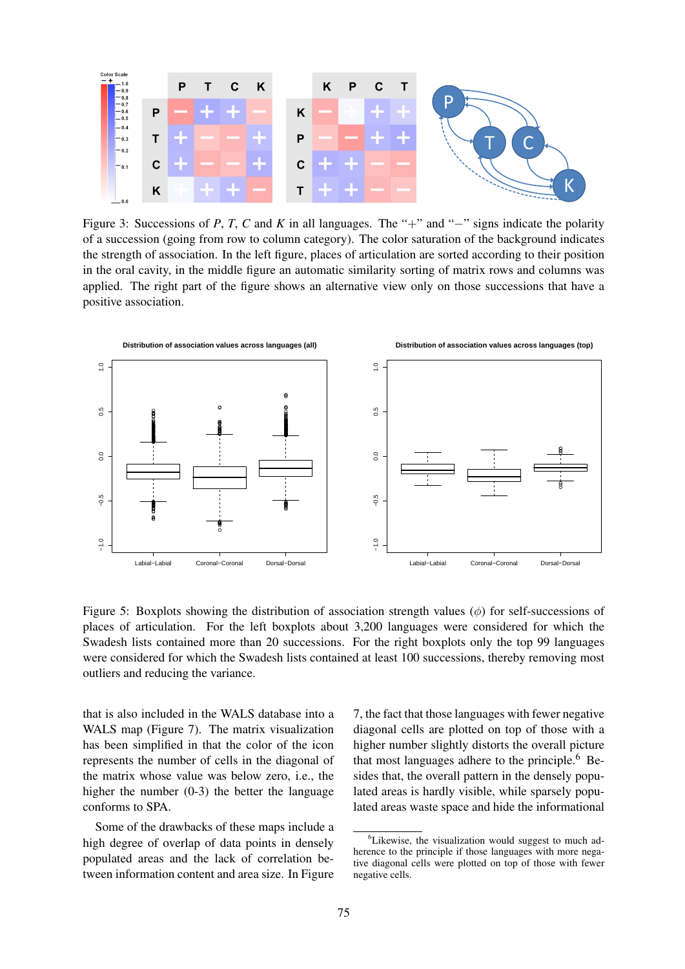

Figure 3: Successions of *P*, *T*, *C* and *K* in all languages. The "+" and "−" signs indicate the polarity of a succession (going from row to column category). The color saturation of the background indicates the strength of association. In the left figure, places of articulation are sorted according to their position in the oral cavity, in the middle figure an automatic similarity sorting of matrix rows and columns was applied. The right part of the figure shows an alternative view only on those successions that have a positive association.



Figure 5: Boxplots showing the distribution of association strength values  $(\phi)$  for self-successions of places of articulation. For the left boxplots about 3,200 languages were considered for which the Swadesh lists contained more than 20 successions. For the right boxplots only the top 99 languages were considered for which the Swadesh lists contained at least 100 successions, thereby removing most outliers and reducing the variance.

that is also included in the WALS database into a WALS map (Figure 7). The matrix visualization has been simplified in that the color of the icon represents the number of cells in the diagonal of the matrix whose value was below zero, i.e., the higher the number (0-3) the better the language conforms to SPA.

Some of the drawbacks of these maps include a high degree of overlap of data points in densely populated areas and the lack of correlation between information content and area size. In Figure

7, the fact that those languages with fewer negative diagonal cells are plotted on top of those with a higher number slightly distorts the overall picture that most languages adhere to the principle. $6$  Besides that, the overall pattern in the densely populated areas is hardly visible, while sparsely populated areas waste space and hide the informational

 ${}^{6}$ Likewise, the visualization would suggest to much adherence to the principle if those languages with more negative diagonal cells were plotted on top of those with fewer negative cells.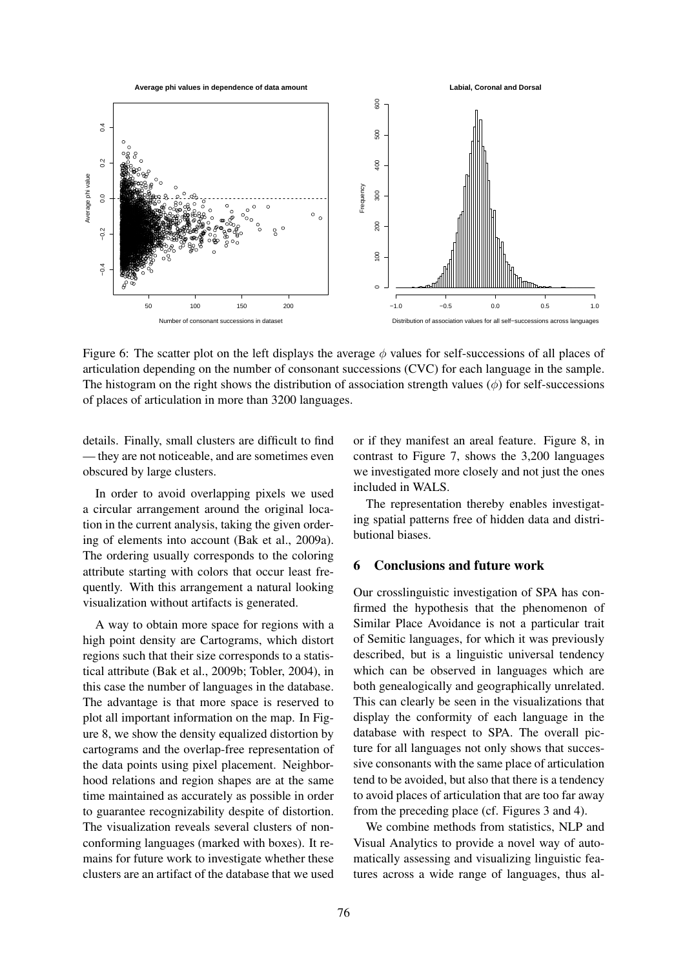

Figure 6: The scatter plot on the left displays the average  $\phi$  values for self-successions of all places of articulation depending on the number of consonant successions (CVC) for each language in the sample. The histogram on the right shows the distribution of association strength values  $(\phi)$  for self-successions of places of articulation in more than 3200 languages.

details. Finally, small clusters are difficult to find — they are not noticeable, and are sometimes even obscured by large clusters.

In order to avoid overlapping pixels we used a circular arrangement around the original location in the current analysis, taking the given ordering of elements into account (Bak et al., 2009a). The ordering usually corresponds to the coloring attribute starting with colors that occur least frequently. With this arrangement a natural looking visualization without artifacts is generated.

A way to obtain more space for regions with a high point density are Cartograms, which distort regions such that their size corresponds to a statistical attribute (Bak et al., 2009b; Tobler, 2004), in this case the number of languages in the database. The advantage is that more space is reserved to plot all important information on the map. In Figure 8, we show the density equalized distortion by cartograms and the overlap-free representation of the data points using pixel placement. Neighborhood relations and region shapes are at the same time maintained as accurately as possible in order to guarantee recognizability despite of distortion. The visualization reveals several clusters of nonconforming languages (marked with boxes). It remains for future work to investigate whether these clusters are an artifact of the database that we used

or if they manifest an areal feature. Figure 8, in contrast to Figure 7, shows the 3,200 languages we investigated more closely and not just the ones included in WALS.

The representation thereby enables investigating spatial patterns free of hidden data and distributional biases.

## 6 Conclusions and future work

Our crosslinguistic investigation of SPA has confirmed the hypothesis that the phenomenon of Similar Place Avoidance is not a particular trait of Semitic languages, for which it was previously described, but is a linguistic universal tendency which can be observed in languages which are both genealogically and geographically unrelated. This can clearly be seen in the visualizations that display the conformity of each language in the database with respect to SPA. The overall picture for all languages not only shows that successive consonants with the same place of articulation tend to be avoided, but also that there is a tendency to avoid places of articulation that are too far away from the preceding place (cf. Figures 3 and 4).

We combine methods from statistics, NLP and Visual Analytics to provide a novel way of automatically assessing and visualizing linguistic features across a wide range of languages, thus al-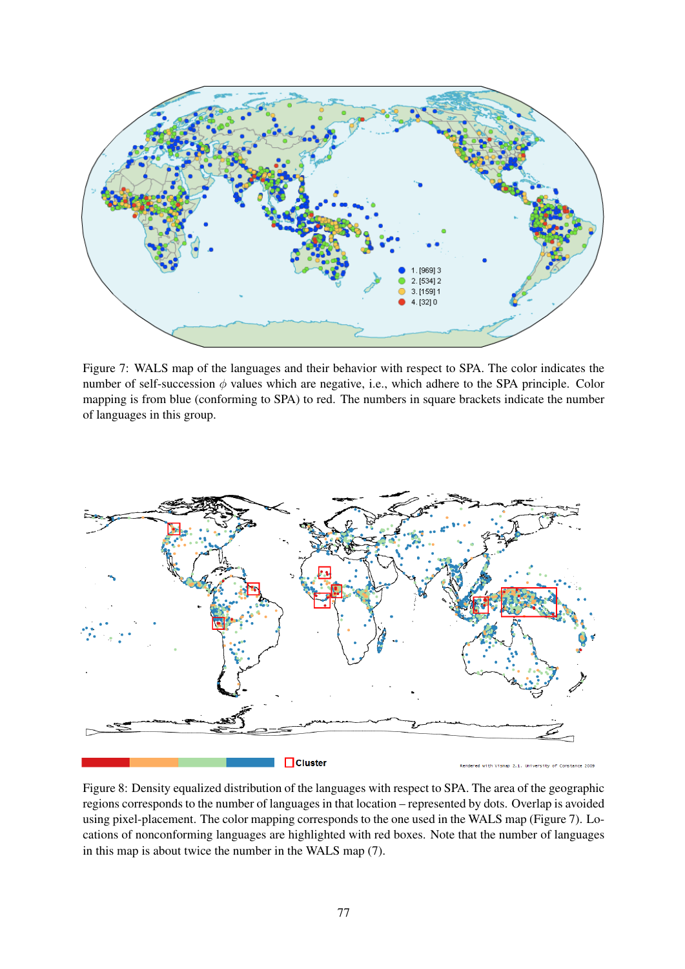

Figure 7: WALS map of the languages and their behavior with respect to SPA. The color indicates the number of self-succession  $\phi$  values which are negative, i.e., which adhere to the SPA principle. Color mapping is from blue (conforming to SPA) to red. The numbers in square brackets indicate the number of languages in this group.



Figure 8: Density equalized distribution of the languages with respect to SPA. The area of the geographic regions corresponds to the number of languages in that location – represented by dots. Overlap is avoided using pixel-placement. The color mapping corresponds to the one used in the WALS map (Figure 7). Locations of nonconforming languages are highlighted with red boxes. Note that the number of languages in this map is about twice the number in the WALS map (7).